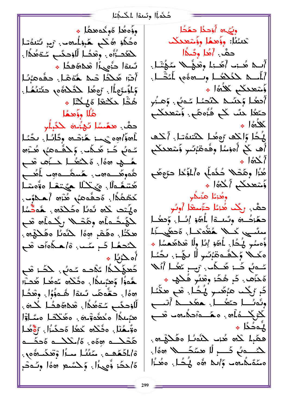حُخُهِإَا ونُبِهَا لِلكَنِيَاطِ وبُّ ۞ أَوْحَدُا حَمَّحُا وؤُوهُا وُدُوهُكُوهُا ﴾ كْتْتْتّْلّْ: وَوُهْعُمْ وَوُسْعَدْكُتْ ەككاۋ «كىل ھَرولامھە . رَبِر تُنلەْتىل حفَّ. أَهُا وضُمُّا لكَعْصَرُوُهِ . وِتَعَصُّلُ لَلْوَصِّصُّمِ عَنْدَهُدُا . أَبِيهِ هُـنِي أَهَٰـنِهِ وقَدَيْكِلا مَكَثَبَةً. سُكَ حَزْمِيهُ أَمْرِهِ مَا عَدَا \* ألمُـــــــم للحُلْخُلُـــا وِـــــوهُوبِ لَمُتْـَــا. أُثَرْ، هُكْذُا ثَـٰكُ هُّةَهْاً. حَقَّوَكُنُّا وَمْعِنْكُم لَكُلُّهُ \* وَلِمُؤُمِّومِلًا. وَوَهُل لِكَفَلَوْهُ مِنْ مِتَنَبُّهُ لِ أُحعُل وَحسُــم كَتَحسُل سُــوبُ . وَهــزُبِ هُخْا حكْتْعْا هَهْكْتَا ﴾ حَبْعُا حَنَّ كَلَّ قُنُوهُمْ. ؤَسْعِدَكُنَّ هُلًا وؤُهِمُا  $\cdot$   $\delta X$ حفٌ. همُسُل نَهْنُدهَ لِكَبِلُر لَحُطْ وَاللَّكَ وَوهُمَا لِكَتَنفُسَا. أَكْتَ ـْمَاهِوْاهِهِ ۚ هِـٰهَـٰ مِنْدَـٰهِ ۖ وِكَٰائُـا ۚ لَـمَـُـٰا ۖ أَه كُمْ أَدْمَمُا وِفُدْتُهُرَسُو وُسْعَدَكُمْ عُـٰهُ کُـٰۂ هُـٰکُم۔. وَ لَكْـُےهُو هُــْ;ه  $\cdot$   $\delta\chi$ هُٰۥۢا وِهۡشَلا شُذُمِّلُ هُٰلۡلَّهُ مُٰلَوۡکُمۡ حَوۡمَٰک هُەوِهُـــە۞ب . هُمىڤَـــە۞ب لَمُصْـــم وَسْعِدِكُم أَكْلَهُ الْمَجْدِ لمشوۋە لىقترْم الْكْرْه . الْمَـفْتَـٰعَة وهُنْدُا هَنُبْكُمْ كَتْفَعُمُّا. هُدَفُّوعَهُ هُنْزَه أَحْكَفَت. حڤ. رِبُك هُزِئا حَزَّمَهَا أُوبُر ەلمُت كە ئەئا ەكلگە . ھُەگْسُا حمّْزَحُـــْ ونُـبـــةا لِمَوْمِ إِنْــا . وُحعُــا للْهُبِدُءِلُمْ وهُنْكُمْ رَبُّكُمْ اللَّهُ تَعْبَ مئىسى كىلا مُقْدِّدا. ەَحقى زَا هكْنُا. ەفْقْر ھۇا لْمُفْعَلْ ەفْلاَكْتُو. .<br>وْهِمُو لِيُحُل: لَمَوْمَ إِنَّا وِلًا هُكَهُ**م**َسُل: لمنحفات مي سين 16 ملك أو من ەڭىلا ۇخشەھۇئىر لا ىنى: ىڭئا أهلائها \* ئے کُہ تَعطُم کی تھے اللہ كَعِنْهُكُمَا مُكْتَدِهِ مُتَوْبٍ لِكُنْ هُم ەُلْمَوْمَ. كَرِّ هُكُوْ وَقْتُلُو هُلُلُولُ \* هُوزًا وَهرَّىبدًا. وثَكْلُه عُوهُما هُدَرَا كَرِ رُكْمَا هَزْهُمْسِ لِأَهُا. هَي هَذَا ا 30\$ا.. حقْدهَك سُنةا هُـدؤُوا.. وهْدُـا وِثَهْنُــا حَمْعُــا. هعَّدــد أنْـــح لَّاوْحكَـــم حُــٰقَـمُدًا . هَـٰدَهَ هَـصًــا ۖ حُــْ هَ . كِتْرَكَكْ هُلُمْهِ. مَعَّــــةَ تَكْتُمُّتُ شَــــمِ هِ ُمِلاً مُحْقُوةٌ فِي مَعْنَدْهَا مِمَّاوَّا |إنْ دُخُل ﴾ ەتُىمْلْل. ەئْݣُلا كْعْلَ ەْحِكْبُل. رَوْهْا همَّبِا لَاه هُنِ لِلْفُلَا هِفَلَهُـهِ. هُصْلَــه «هُ٥، هُ/مُلْلَــه هُحصَّــه لكسمهُ كُبِ لَا هِمَكْنَ لَا هَهَا. ەُ،لمَكْمُعِـد. مَنْسُل مىدُّل ۋقدكْمەۋەب. هِمَّكَمِكْمِيهِ وَٱلْلَّهُ هُوَ لِمُكُلْ. وَهُدُّا هُ/هجَّ: وَّهِيدًا. وَجَمَّسُم هوَا وِيَوْمَ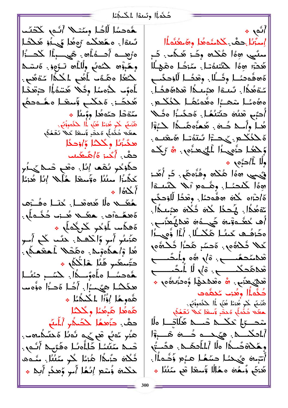حُخُه إِلَّا وِنُبِيهَا لِلصَّدِيَا

هُوصُل لَاحُـا وِمُـْـلا أَنُــو كَتَمَـٰ ئىڭا. ەھّىكىد ئومُدا يُحدُّد مَكْشَا وَرُهِــــو أَحـــــوُلُم مِنْ مِنْ الْمَحْـــوَالْمَـــوَالْمَـــوَالْمَـــوَالْمَـــوَالْمَـــوَال وِهَٰٓ بِهُوۡ وَلَا اللَّهُ ۚ لَـوَٰٓعِوۡ ۚ وَلَسَـٰهِ لمَعْدَ وهُـمُـ لَمُع لمكمُ ا عَـٰوَهُـ . لَمورَّد لِمَنْومِمُلا وَشَلا مُسْوَلَدًا حَزَمَتِكُمْ الْمُسْتَدَمَّلَ هُدَكَ: هُدَكَبٍ وُسَعْدًا مِشْءَدِهُم مَّةِدًا حَدَّهُا وَوُعِنًا ﴾ هُّنۡبُ ۚ كُلِّ هُنَا هُنَّىٰ ۖ أَٰلَ كَلْمُوؤُبِّ .<br>حَقَلا حُدُّمَا ۖ هَدَتَ ۖ وَسَعْلَ حَلا تَقَعُلَى هدَّىُزُىٰل و كُلْمَا وَٰ)وَحِكْل حفٌّ. أَكُنز هَ/هُبعُنِيت حكَافِكُو تُنْقَفُ إِتَّاءِ. 20ْفَعَ شَيْئَا كَلَّاتُو كَكَمْزًا مىلُلُّا ەۆمىھْا ھْأَلَمَّا إِنَّا هُزْمًا  $\frac{1}{2}$  ,  $\frac{1}{2}$ هُهَبْ وَلَا هُدُوهُــا. كُنْـا وَفُــْزَى ة هكت أحب. حكمية هُنزت كُنْتِ كُمْ بِي ەُھكَامد لَمُؤْكُنٍ كَلَمِيْكُمْ ﴾ هَّنْسُو أَمَو وَالْكَعَـٰهِ. لَكُمَا كُلَّجَ أَمـو هُا وْاهِلُوهُمْ. وهُصْلا لْمَعْمِلُهِ. دَّسْمَٰى فَنُا هَاتُكُمْ \* هُوَجِسُما وَأُووُسِيرًا. كَمَسْرِ صَبُنَا هكَكُمْ هِيُمْبُرْا. أَضُلْ هُصَرُّا هُوُّهِ مَا هُدوهُا إِوْرًا لِمَكْلُمَا \* هُوهُا هُرِهُمُا وِكُلْمًا حفٌ. حَزْهِمُا ۖ حَضَمُّرٍ ٱلْمُنَّعِ . مەملەنگە ئاھە ئورى ئوڭ باش تَسبط مُنَّسُدًا خَلَفُوطًا وفَعَهِـهِ أَنَّـهِ. ثَلَاهَ حَ;ُـدًا هُ;ـُا ـلُـرٖ ـمُـنُنُا ٖ. ـمْــه لْمَكْلُمَةُ أُمَّتُمْ إِنَّـٰهَا أُسِ وَهَـٰذُمْ أُبِي ﴾

∛نُه∢ ∻ إِسْتُطْ حَتَّ بِكَحْشُوهُا وِهَ حَقَّةُ ا ملَّى وَهُمْ هُدُو وَكُمْ هُدًا. كُمّ هُدْ: وەْلگىنىمْتا. مْزْدُا ەھْھِلْل ەُھھُەدىُــا وِثَـــُال. وِتَعثُــا لَاوْحـكَـــو حْـٰقهُدُا. تُىنەا مْبْنىدُا شْدَهْفْشَا. ەھەئىل شھىرا ەھەئھىل لىنگى . أَدَّبِ هَدُهَ حَنَّنَكُماً. هُحَكَّ أَ هُكُلاً هُما وأَسِمْ حُـِينَ . هُـُمْنُوهُسِمًّا كَـرُوْٓا مَكْنُكُم، حَكَّةُ التَّمَّتُ الْمَعْتَمَّةِ. مكَّنِّ هُ . وَمُعْرَبُكَ أَسْرِهِ مُ رَحْمَهِ مِنْ الْمُحْكَمِ ولًا لِمَاجَوْدٍ \* فَيْحِي هَمَا هُكُلُه وِقُنُوهَمْ. ثُمّ أُهُمْ: هِهُا كُلْحَمُا. وِهُــوم آلما كَشَلْــةَا كَادْرَاه لَحْرَهْ هِقُوصُلْ. وِهْدُا لِّلْوْحِكْمِ تّەھُھًا. كُحمًا حُتى شَكْنَ ھېْىمًا. أُهَا مُعْشَاةٌ مِنْ شَيْءَانَ شَكْلُهُ مِنْ مَا مِنْ أَمْرَ هَجَوْهِ مِنْ الْمُكْسُلَا. أَلْمَا فُوَيْ أَنْ كَلًّا فَكُلُّهُورٍ. هُجِسٌرٍ هُجُرًا فُكْلُهُورٍ قىلمئىگىسى. ۋاپ قە <u>ب</u>اشىسى مْدَهْحَكْــــــــــى. ةْ\ب لَّا ـأَمخَــــــــــع هُ مِنْ مِنْ مِنْ وَهُدَا مِنْ وَمُعَلِّكَ وَمَعَلِّكَ مِنْ مِنْ مِنْ مِنْ مِنْ مِنْ مِنْ كُثْمَلًا وهُزم مُحقَّدت هُّنِٹٌ كُرِ فُنِطُ فُنَّىٰ لَمَا كَخُوفُتٌ .<br>حَقَّلا حُخُملٌ ةَحَدٌ وَّسِعْلِ كَلا تَقَحُمَّى وِهَٰٓدْهُ حُــٰٰہُۢا ہِلَا اُلْمَلَٰٰہٗ کَمَـٰٓ یُہٖ أتتمن من المُسْمَا حَمَّمَا مَرْمَ وَّحْمَلًا. ِ هَٰذِكُمْ وَُّــِهُرَهُ ۚ مَـهُـٰإِلَّٰا وَّٰمَــَهْا مَّـٰ مَـٰئُنُا ۚ \*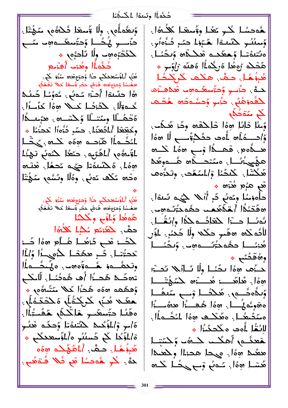حُخُه إِلَا ونُبِيهَا لِلكَنْجُمَا

وَبِعَثُماهِ وَاللَّهُ وَمِيعًا شَكْرُهُ مِنْ مَكْمَتًا . جَنِّب ومُحُسَّلِ وَجَمْعَهُ عَنِي مَيْنَ لْكُتّْجُوهِبْ وِلَا تُلْحَرُهِ \* حُذُه أُل وهُنِ أُهْنُتُمْ هُنَّهُ ٱللزَّمْعَةَدَكَّمَ جَزَّا وُجَرِّهِهُا مَنَّزَةٍ كَلَّى.<br>همَّسًا وُجرَّهِهُا فَرَهَ جَمَّ حَدَّ وَمَعْلَ كَلا تَعْفَلَهِ. هُا حِبَّىهَا أُحِبَّ، عَمنُ عَمْوُعًا حَينُـلا نُحدوْلًا. كَثَرْصًا حُمِلًا هِوَٰا كَذَبِّرًا. هْتّْصَلّْلَا وْمِئْتْسَلَا وْكْشْدْهْ ، هْزُمْكْلَا وِكْفِهَا ٱلْمَعْذَا. حَسِّرٍ دُّزْهِ الْكَحَزُمُا \* لمَكْرٍ مِنْ مِنْ مِنْ الْمِشْمَلَ لْمَوْمِرْهُ مِنْ أَلْمَا مُحْمَدٍ . حِنْظُلْ هَذَا لَمْ يَا مِنْهَا لَمْ يَا مِنْهَا هِمَا. هَكْسُمُتا هِيْمَ مُحمَّا. هَنْسُ هْدَه مُكْكَ مُهْلٍ. وِهْلَا وِتُسْمَع مَكْمُتْلَمْ هُنَّهُ ٱللزَّمَعِيكِي جَزَّا وَجَرَّوهُمِ مَمَّرَّهِ كَلَى.<br>هِمَسًا وَجَرَوهُم فَرَيَّ حَجَرٍ رَّسِعًا كَلا يَقْمُلُهِ هُوهُا وُلْمُو وِكُلُّا حفَّ. حَقَّ: عراج اللهُ اللهُ لْحَكّْــٰ; قْبِ كُـْهُــا هُــأَمْ هَـهُا كُـــٰ; تَحدُّثا. كُم مَمْقَا لِأَوْلِيَا وَإِلَمْ وتَحَفَّــوز هُـــوَوُّەھب وكُنْدَّــولُمَّا تەكّىم ھُجارُا أُف ھُوئىًا. لَلْكُم وُهِعُهِ وَهُ هُدًا لَمِلاً مُتَّبِّئُوهِ \* ـْمَعَـْـدْ هُـزَى لَكُـرِكَـثُمُّ هَـدْشَدْمُلُو. ەقَىُّا دَتَّىھُىپ ھَاتَّكُمْ ھَقَّىُتُمَاْ. ەُ/ىر ۋالمۇڭىھ كېتىئاتا ۆھكە ھْلُـر ة/لمُوَّكَل كُم شَسْنُرِ هُ لِلْأَسْعَدِكْمِ \* هُرِوُهُا. حقَّ. أَلمَّهُكُمْ وَهُوَ حة. كُر هُءحسًا هُم ثَلا فُـُقَمَم.

هُوصِمًا كُلِّرٍ مُعُمَّا وِوَّسِعْدَا كَلَاهُ!. وَمِيلَاتٍ لِكَتَبَاءَا لِمَجْوَدًا حَيْرٍ خُزُّواُنٍ. ەئتىۇشا ۇھقىدە شىلىۋە ۆيگئىل. هُتْكُمْ رُوهُا هُرَيْكُمْاً هُفَنُه رُاوُسٍ \* هُروُهُا. حتَّ. هكْم كُرجُمْدًا حدًّا. حزَّمَــــــو وَحَتَّمَــعَظَـــموما هَـــدها عَــزَها لْحَقّْدَوْهُكُرْ. جَنُبْ وُجِشْدَدْهِ الْمُشْعَد **کے متفکی** وَّىنًا دَانًا هِهَٰا دَاحْقُه وِجٌّ هُـكُف. وَّائِــــةُلُمْ لِمُّاهَد حَثَّكَبُوَّـــــمِ لَّا هَءُا هلمُعون قَصِيحًا وَلَى حَمْدُ كَلَّهِ ههُبِهِ زُلُساً. ممْتصلُه هُــوهُمْ هَكْتْبَا. ݣْلْحَبَّا وْالْمَعْجَدِ. وتْدُّوهَا ြစ် တို့ရ ဖိုင်း(စ $\ast$ း حَلُّومُمَا وِعَهُمْ ثُمِّ أَٱللَّهُ لَئِي مُعَهَّلَ. هِ فَتْنُمُ الْمَّكْعُمِينَ حَقَّوْحَتُرُوهِ وَجَبَّدَ وَالْمَعْلَى ئُهنُـــا حـــرْا حَعْلاَئــــه حَكْمًا وإنْغُـــا. الْأَدْكَاه «فَس حَكْلا وِلًا حُدْبُ. لَمُوْن هُزِئْـــا حَقَّدَحْتُرَــــومِ وَتَحَبُّـــا وەقئىم ھ حِنُّفٍ هِوَٰا بِحُيْاً وَلَا تَسْأَلَمَهُ بَحِبْتَهِ 160 مَلْهُــــز هُــــرْو لِمَنْدَيْتَــــل وَبِدُّهُوكُمِينَ مَكْشُمًا وَسَبٍّ مَنْبَقُمَا هُومُهِمْ الْمُسْمَلُ الْمُعْسَنُوا هُدَّسْتُوا ەممْثَىعْـا. ەھْݣـْھ ھەْللىنْـْـولْا. الاِنْقُا أَود وكُحِدًٰۥًا ﴾ هْعِنُــهِ أُهِكْــهِ كَــْهُـهِ وَكَمَّتِــل هي المنصر المنصر من اذهب مشعب هَشا هِهْلَ. سُمِّ وَجِدٍ حَمَّدَ لَكُمْ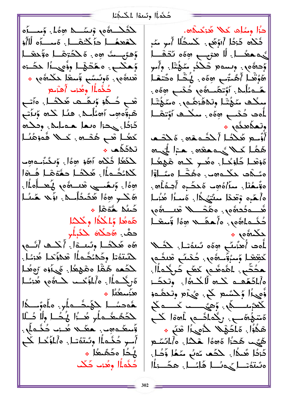حُخُه}ُا وسُفا لِمُكَجُّبُا

لْمُثْلُّــْ هُوَ وَسَيْــْكُمْ هِوْمَا. وَسَـــأَه للقعمُــا حَزَيْتَـفَــا. هَمـــزَه لَلأَوْ وُهرَّمِــمُّ وهِ. هَـحكَـٰٓوَهُــا هوَّحقَــا وُهكْبِ. هِمُّتْهْا وِوْْهِيْدَاْ حَدَّةِهِ قْدْفُونْ. وْمُسْتَى وْسْعْلْ حْكْشُونْ مْ كُنْدَمُّا وهُذِب أُكْزَمُهِ ھَے دُلُمُو وُبِھَــم مَكْدًـا. ہَٱتے هْرِقُوهِ وَالْعَالِمِ. هِنُا كُلْمَ وَيَلَبَ كَرْدًا. حِجَرًا وَتَعْلَى مَسْتَمَارِكَ وَحَكْمَةٍ كَعُــا مْــو هُـتَـــه . كَـــلا فُـەزْمُنُــا تككّكم \* لْمَكْعُلْ شَكْلُهِ أَلْهُوْ لِهِ هَٰلَ. وَيَكْتُبُوهُ بِ كْهْنْدُومُلْ. مُحْدُم حِمْقْهْمَا فُوْا الْمَاءِ. وَمِعْسَى هُنْسَاهُمْ لِمُحَسَّاهِ الْمَاءِ. ھَكُبِ وَوَٰا هُشَمُلَكِ. اؤْلِمَ هُنُكُمْ حُسُلاً هُتَاهَلُ \* هَمعُل وَلِمُكُما وِكُكُمَا حقْ. قُحكْتَ كَكَبْلُر<br>قَوْ قُلْكُسا وِتَسْوَا. أَكْسُ أَتَسَع لِمُتَمَار وكَمْنُشُم*اْ*ا شَمْؤُكُما هُزَنَا. لمَحْمِدِ هَٰغَلْ وَهُمِعُلْ. وَلَمِنَّوْهِ رَوْهُم ەْرېڭىمال. ەڭلۇڭىس بەشەپ ھُزسُل مأسعُلًا \* هُوَجِسُنَا ۖ جَهُنَدُ وَلَمْنَ وَلَمْوَةٍ مِنْكُمَا للْحُكَمَعْــــمأمِ هُـــزُا لِمُـحُـــا وِلَا حُـــُلا أُسِرِ حُكْـٰه اَلْمِ وِتُـنْتَهْسَا. هِ ٱلمُؤْكَـٰ الْكَـٰعِ 4ْ هُدُّ مَحْشَمْا ﴾ دُنُّه اُل وهُن دَكْ

دُّا وسُلِهِ كَمَلاً هُوَمُحَلَّاهِ. ِ ثَلَاه دَٰذَا ٱاوٖۡهَٰۖ ٖ. کَننۡکُا اُس مَٰٓ۔ فَهِ مَقْدٍ اللَّهِ مِنْ مَقْسَمٍ مِنْ مَقْسَمِهِ مِنْ مَقْسَمِهِ أَوْدِهُومِ. وِيسومِ تَحْكُرِ مَكْهُنَّا. وِأَمْرِ هَوُثْمًا أَهُنَّى وِهَ . وُضًا مِتْسَاط هُــدُلُمْ. أَوُتمُــدُّهِ دُمْــمٍ وَهُهِ. سكْك مَكْتُلْ وِتْݣَاوْهُومْ. مِمْكْتْلْ لمُعت حُكْس وَهُء. سكْلُ أَوُّتِهْل وتعكَّفه \* أَنْزَىــع هَٰــْدُـا أَكْــُــه هُ. هَ كَــْــم میریا ایک بهگه می ممکن اخفه ەُوْشَا خَاوْحُا. ەھُب كە ھْھِھَا ەئىلەد يىڭدەپ. ەھُتْسا ەيئىلۋا ەقْبْعْنْلْ. مىڭلۇھە كىڭبو آجىئلەن. ٥أَحَمَرِهِ وْتَعْدَلَ مِثَنَّىٰكُمَّا. هُمِيزًا هُذُبِيل هُـــوهُ مَنْ وَهُدْ مَـــهُ هُـــوهُ م دُهُـه داهُهن. وأَهدَه من الله وَمَا وَمُسَمَّل مكشؤه و لْمُعَ أُهْنُنِّي هِمُه سُمُصًا. لِمُصَلِّلَا كَقِفَا وَسَرَّقُتُ وَهُ لَا تَكْتَبُ هُنَّكُمْ هدُتُبِ. لمُفَمُّد مِمْكُم حُرِكُداً. هُ الْمُعْدِدِ لَا الْكُلُّهُ ﴾. وتَنْكُمْ: وْهِيدًا وَلِكْسُم لَكَنْ وَيُتَرَاهِ وَتَحَفُّوهُ كمعتبسكين وعتى مستكمل مَتْدُاهُما مِكْدْمُ بِهِ مِنْهُمْ هَكُوُّا. هَلَكُهْلا لِلْزَى الْهَكْمُ \* هَيْبِ هَدُا هُ١٥\$ هَكَا. هُلْكَتْم كَرْدًا هُددًا. كَكُم عَابُ مَعْا زَكْلَ. الْنَصْحَةِ مِنْ السَّامِرَ السَّامَةِ الْمَسَاءِ الْمَسَاءِ مِنْ الْمَسَاءِ مِنْ الْمَسَاءِ مِنْ ا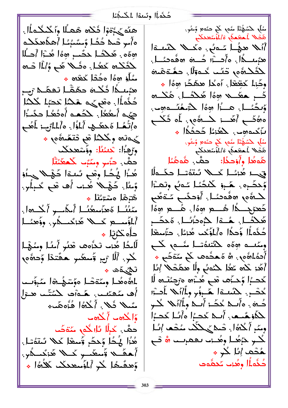حُدُّواً وِنَىفا لِكَيْبِكَا

هنّه كِبْوَةٍا شَكْم هْعِلًا وَٱكْتُحْمِلًا . ەأىر شىھ خُصًّا وُجِسُبُهُا أَهِكُمْعَكُمْ 1000 . هَكْشًا حَصَّى 160 هُـْزَا أَحِـلًا لْمُثَلَّاهِ كَعُمَا. وَثَلا مَع وُٱلْمَا تَــه مْلُو هؤا وحُثَّا كَعْدَه ﴾ هزَمىـدُا ئَـُـده حمَّةًـا تعمَّــه رَبِ حُدُّمَاً. وهُم ي هرَ مِهُ مِنْكُمْ لَحْدَ الْحَكَمَ دَىء أَحدُهَا. حَدَمه أُوتُعُا حَدَّرُا وإِتُمُا هَدِهَكِ ٱلْمَوْْلِ وَٱلْمَارُنِ ۚ لَمَعُبِ ى مەنھە وڭلىئا ئىم ئىتقىشەر . وَرَهِزُا: ݣْلْمَلْلْ: وَوُسْعِدِكْمَا حڤ. حَنْسٍ وِمَّبْتِ كَمَعَّنْتَنَّا هُذُا هُخُا وِهْمٍ سُبِّهَا خَهْبِ حِيرُو وَّمِنُا. كَـهْــه هُــزم أَه شَع كَــزِلُمْ. <del>ى</del> تى ئى ئى ئى ئى ئى ئى ئى ئى ئى ئى ئى مَنْشَا ەَھزَىمْعَنْسَا أَمَلَّىبِ أَكْسَنَ . ٱلمؤَمسون كَسِلًا هُمْكُمسِكُوبِ وِؤَهْشَا دأه خَبْرُبَا \* لَّالظُ هَٰذَا تَكْنُوها هْلُو أَمْلًا وِمُؤْلَم ِكُمْ. ٱلَّا <sub>ْكَ</sub>مِ وَّسْعَمِ هَقَّنْدًا وِّدْهُمْ  $\bullet$   $\bullet$   $\bullet$   $\bullet$   $\bullet$   $\bullet$ لمؤهفا ومنفشا مؤنتهأ فا منرؤب أَفْ مُحْمَلِبٍ. هُــَةَ فَ لَمُنَنَّبٍ هُــَةِلْ سًلا ثَلا. أَكْدُا قُذْهَفَ.  $\frac{1}{2}$ وَالْحَمْدِ أَكْتَمَتْ حفْ. كْبِلًا تَالِيْكُمْ سِّقْضُتْ هُٰۥۢۢڶ جُحًا وَحِجَّ وَّسِعْلِ كَلا سُتَوْسَلَ. أَحفَــلا وَّسعَٰـــو كَـــلا هَـٰهَـٰــمُو. وُهڤَىعُا كُر ٱلمُوْسِعِيْكَ ݣَلْاُهُ ﴾

مَلَّل لِكَمَوُّتَا مَّد) كَي حَدَّدَ وَّمَتُرٍ.<br>هَضَلا الْحَقْعَكِي ةَالمُؤَمِّعْدَكَنِي أَأَلا هؤُلم صُوبُ، وكُلُّهُ لِمُسْتَةَ هزَمللدُا. وأَصِبْه حُصه هفُوصُلِ. لِكُلْمُومٍ تَسَّدُ نُدْوَلًا. حَقَّةَهْدَهُ وَجَبَا كَفِّعْلَ. أَوْكَلَ هِهُمْ وَوَا \* كَهِ هِيْمِيهِ وَوَٰا هُلِكُما. هُنْكُمُو وَبِحَبْ إِ. حَيْرًا هِوَا جَيْدُبَ وهِ. ەھُكَى أَهُـــز كـــوُّەب. مُه فَكُـــمِ لِّبُكُموهِ بِ لِلْعُبْطُ كُحِثُكُمُ \* مُلَّل لِمَتَّذَتَكَ مُتَّفَّلٍ لَّكُمْ كُلِّ حَتَّفَاهِ وَمِتُوباً.<br>هَضَلا الْحَقْحَظِّي ةَ/اوْضَعِدَكْنِي هُوهُا وِأَوْحِدًا: حَقَّ. هُوهُمُا قحام هُزسُا كَـــلا سُتَهْسَا حكْــهِلْا وَحَكَّرِهِ. هَـِ إِهْ كَلَّمَـُـُـلٌّ عَـٰهُ وَتَعَـٰٓٓٓٱ لْمَدْهُومِ هِقُومُمُمْلُ. أُوْحِكُمْ كَتَوَهُمْ كَعْرَجِكُمْ هُــــْمْ هِهْ . هُـــْمْ هِهْ ا ھُلادُ ). ھُــۃا كُرەدُنُــا. ەَحكَــر حُذْهَاْ وَحِدًا وَٱلْمَوَّكَبِ هُزِيَا جَوَّحِيقَا وسًك وهو التَّسُوْسَةِ مَسْمَعَ لَكُنَّ أَحفُلُهُونَ فَا هَدَّدَهَ ﴾ مَدَّدَه مَنْ الْمُؤْمَنِ ﴾ [الله عنه أَهَٰذٍ كَلَّهُ حُمًّا كُمُهُ وَلَا مُحَمِّدًا إِبْلَا كُحبُرا وُحنُوم هُب هُنْزَه ورُحِنْنَـهِ لَا حُصَّرٍ. كَتُبِيَّةَا هُبِرُو وِلَمُ/أَكَلِ لَمَسْرًا حُــة . ه/ُـــد مُدَّــٰۃ /ُـــد وِلَمُ/ُلا كُـــو لحَكَوْهُــم. أَبـــمْ حُجـــُ أَوْتُــل حُجــُ ا وسَرِ أَكْلَاهُ!. تَسْمَعَ كَلَفْ سُتَحْفَ إِنَّهِ ا كُتُو جَرْهُنَا وِهُنْتَ بِعَمْرِيبٍ ﴾ في | هُڅُما إِنَّا لَكَنْ \* كُنُّه لَمَٰا وهُن كُنفُوت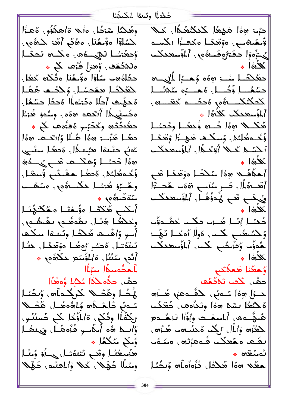حُخُه}ُا ونُبهُا لِلكُبِمُا

وِهَٰكُمْا سْبْطًا. وَٱللهِ وْٱهِكْلُؤُو. وْهِدُّا كْشَاۋْا ەۋْجْسَا، ەەكْم أْهُدْ كْدەُهِ. وُحعُنْنُــا لَيْنَ هُمْ. وذَكَّــه تَحدْــا ەلكككە. ۆھتۇل قْنْھَ كُلّْ \* حَكَاهُ۞ مُنَارَّا وَتُعَمَّلَ وَثَكْلَاهِ كَعْلَا. لمَعْلَاصًا مَعَصِسًا. وَلِحْصَمَ هُهُا هُدهٌـد» أحلًا ودُنْدَاً أوْحَدًا حمّهُا. ەكَسپُىدا أَاتْدَهە «ەَە. وِمْدَوْ هُزْمُا دهُّەدُدُه وٖكتَّبُر ەُفْ;ەھ كُل ﴾ دهُــا هُنُـــ: 6ﻫا هُــُلا وُالسّــم 5ﻫا عَەبُ حِنَىڭا ھۇسىدا. ەَحھَا مىنَىپ هؤا تحئسا ومحتكم والمحادث وَّكُدەھُلگە: ەُدھُل ھقَىنَّب وَّمھْل. وِهۡــُـٰٓ وَهُنۡـَـٰلَ حَكَــُــُوهُو ۚ. وَمُنۡصَّــَـب مَّةَحُدَةُهِ \* أَحْسَبِ هَٰتَكَـا هَوُّحمُنْـا هِمَّكَتْهُنْـا وِكْلِحُكْ هُنُا. بِعُوهُــم بِعُيفُــم. أسر وُاقْسِعَا هُلاَشًا وِنُسَوْا مِلْاَتَ ئىتۇشل. ەَجئىر زوھُل ەۋقىشل. جىئا أَلَّهِ مَثْلًا. ةَالْمُؤْمَّمِ هَكْلُهُ مِهْ أحدُه بمكر المُبار حفٍّ. حذَّه حَذًا عُجْمًا وُهِعُزًا لُحُـا وِهَٰـْـلا كْرِبْـْـملْ¤. وِّىـتَـُـا ئــەبُ تْـالمْــدُ« وۡلمُوهُدل هَتَـــلا رِكْثُمَاْ وِثَكَى. ةَالمَزْكا كَبِ ضَسْنُو. وَّاسِي شَيْ أَمِكْسِي فُتُوهُمْ فِي الْمَسْرِينِينَ مِنْ الْمَسْرِينِينَ مِنْ الْمَسْرِينِينَ مِنْ ۇڭى شگغا ھ هنّىمغُنا وهَبِ تُتلفُسْا. حَالُوْ وَمِنْا وِسَٰىلًا خَهْلاً . كَمَلاً وْالْمَصْدَ . خَهْلاً

دَّءٍ: وهُ| هَمِعُل كَدَكْتَعُـدًا. كَــلا قُمْعَةِ بِ هِ وَقِعْدًا مَكْمًا الْمَلْسُمَ لْخَبّْوَةِ | حَقَّرْوَقَدِهُومِ. أَلْمُؤْمِعْدَكْت X أَهُما \* حفَلاَصًا مُسْزِ وَهُو مُحِسَرًا لَمْ لَهِ مَنْ حسَّمُـــا وَّحُـــا. هَـمــــرَه مَكَّلُـــا كَعَكْتُكْـــــــةُى مَحكَـــــــه كَعْـــــــــة. أَلْمُوْمِعْدِكْمْ لْمَلْأَهُ } هُكُمُ بِهِءُا حُصِنَ وُحِصُما وحَصُما ؤُكُدەھُلگە. وُسڭىڭ قىچىدا ۋقىقىل آكسُكُ كُمِلًا أَوْكُمُّا. أَبْلُؤُسِعِدِكُب  $\frac{1}{2}$ أَهْلَاهُـلِهُ هِهُمْ سُلْحُـا هَوْتَعْدًا هُـمْ أَقْدِهُمَاً. كَــِرِ مُنْسِحٍ قَوْمًا هَدَــْتَوَا فَكِيمَةِ وَمَاءٍ أَمْلَامَ مِنْكُمْ مِنْكُمْ مِنْكُمْ مِنْكُمْ مِنْكُمْ مِنْكُمْ مِنْكُمْ مِنْكُمْ  $\cdot$   $\stackrel{\circ}{\text{M}}$ حُدْسًا إِنْسًا هُـــزم حَكْــم خُـهَّــهِ وَّم وَلِكْسُعَْبِ لَكْتَ. ةَوِلًا آهكْمَا تَكَيْ: هُوَوُبٍ وَدَيْتُبِ ۖ كُتِبٍ أَلْمُؤْسِعِدِكُتِبِ كلاؤا پ وَحَقَنَا شَعَدُتُ حقٍّ. لَكْمَ لَلاَصَّف حَسَرًا هِهَا مُحَمَّدٍ. حَقَّــهِمْ هُـــٓرُه هُكْتُعُا بِشَدْ 5هُا وِتْدْوُهُمْ. كَعْدَكْت هَيهُـــوي. أُلمبــهــت وإِوُّأا تَنِـهُــوم لْمَعْنَوْهِ وَٱلْمَالِ مِّكْمَد مُحسُّده مُحْتَوِهِ. بَقَبْ مَعْجَدْتِ فُءِمَ رُبْعَ . مَنْتَفَ ு வீட்டீ هعَكِد 1هُ أَ هَكْدًا. ضُرْهَأُومُا وَ وَمِحَمَّا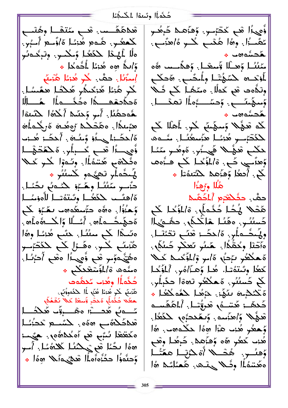حُخُوبًا وِتَىفا لِمَكْبِكِيَا

هْدْهُكُــْـب ، هْـــم مْنْتُفْــا وِهُنْـــم كُمعُصِ هُءم هُزْمًا هَازَيْنِ أَسْرَبَنِ. ەلْا ﻠْﻟِﻜَﺎ ﻜﻜَﻌُﺎ ﻭُﺑﻜُﯩﺮ. ﻭﺗﯧﮕﺪﯨﺮ وَّابِدًا وه هُزْمًا لِمُشَمَّلًا \* إستَّئل حفَّ كُرِ هُنْئا هُنْبَعُ ﻼﺭ ﻫُﻨْﺪُ ﻫُﻨِّﺪُﺪُﺭ ﻫُﺪْﻛُـٰڶ ﻫَـﻤُـﻨُـڶ. كَحِكْمَهِ هِـــدُّ كَلَّـــدِمُّا لَــمُــــــالُّا هُوحفُنُا. أُس وِّحسُّه أَكْشَا كَسْوَا ھبُىئاً. ەھَتْىلا رُوھُىۋ ەُرىگەلُھ هْ/حصَّرْ لِمِحْسُوْهِ وُسُلُهُ . أَحصَّرْ هُــزَم فْعِيصاُ الْعَصِبِ كَصِبِلُرٍ. هَكَمَّدَهْصًا ەڭلاۋىم ھُتىمُلًا. وئەۋا گىر كىلا بُمْشَمَلُو تَعَيَّدُو كَسْلُو \* دَّسو مَنْسُل وهُجَوْ حَسَّمَتُ بِحَسَلَ. وَمِّنْوَٰلُ. ٥٥٥ دَتَمْمِعَده صَدْرَوْ كَمْ ەَحِمْمُــْــه اُمْ . أُمْــُلَّا وَالْحَــْمُّه اُمْ . ەئىـڈا كَم مىنُىل. ھئىم ھُزنـُا وِھُا هُنْمَع كُبر. هَفَـرُل كُـع لِكَتْبُـــر وَهُيَّكُومِ هُوَ مِنْ أَمْرِيهِ فَيَ أَحَرُّكُمْ مِنْ أَحَرُّكُمْ مِنْ ەمئەھ ة/لمُوْسْتْنْتْكُم \* كُنُّه لَٰهُ وهُنِ كُنفُوت هُّنَبِّ كُرِ هُٰنِنَا هُنَّ لَمَّا كَفُووُنِّيَّ.<br>مِعَكِّد دُخُماً وَمَدْمِ وَسِعْا كَلا يَقْمُكَنِّ ئے مَل هُدتْ: ہڤـــبوَّب هُلاَئـــا قَدْمَكْلُهُ بِ 1009. كَسُسْمِ تَدْرُسُلُ مَكْفَعْدَا سُبَّى هُى أَهْكُمْ وَبُّسْ لَمَّهَا مِنْ الْمُعَكَّدِهِ ههْ النْصْلا لْمَكْسِ رَسَمَا ادْهَا. أمه وَحِنُووُ | حَذُوْرُهُ عَلَى الْمَالِحِينَ مِنْ الْمَوْمَ الْمَجْمَعِينَ مِنْ الْمَجْمَعِينَ مِنْ ال ؤْهِيدًا هُم كَحْبَمِهِ. وَقَوْهِمْ خَرْهُمِ تَمَسَّأ. وها هُنْبِ كُبِّر هُاهنَّبِ. مِمْنُنَا وَهِــْلَا وَّمِـهْــاٍ. وَهِدَّـــب هُو لَمُوْتَدِهِ ۖ حَمَّهُتَّا ۖ وِلَمُحَّبٍ ﴾ ﴿ وَحَكَّبِ وِلْݣُوت هُم كُولًا. ومَنْعُل كُم ثَـٰلًا وَسَهَّىنَـــــى. وَحَسَّــــوْه أَا تَعمَّــــا. كُمْ شَؤُلًا وُسَؤْسٌ كُنْزٍ. أَهْلًا كُمْ لْمَكْنَعَ تَعَوُّلُكُمْ فَيَجْرَبُ هُوِقُسِرٍ مُنْشَأً وَهِدَسِي کُم. ةَالمُؤْكَّل كُم هـزُهِ م لَّكِي. أُحعُد وَفَرَه مَدْ الله عَلَيْسَهُ مِنْ أَحِدٍ مِنْ أَحِدٍ مِنْ الْجَدِيقِينَ مِنْ أَحِدٍ م هُلَّا وِرِّهِۥُا حفٌ. حثَكْثَمَ مُلَكِّمَة هُصْلا هُحُا حُدُّهاً، هُ/اؤُكا كُم كَسْتُب، وَهَنُا هَاتُكُمْ. حَثَّمَ الْمَ وِهُـحُــٰءلُر. هَ/ححُــٰ; هَبُ تقسُّل. هَ تَصْلُ وِحُقُمًا. هَمْسُو تَعتَدِ حَمْلُكِي. ەْھلْكْبْر ئۆتى، ەْلىر ۋالمۇڭىك كىلا كَعُدًا وِتَىتَدْسَا. هُـا وَهـزَاهُـرٍ. ٱلمَوْكُـا ڭم كَس*للُ*و. ەَھڭگۈ تەۋا ھدَّېلُو. ەتكىرىغ بىر بىر بىر كى كىدا . كُدهَــ: هُتنـــهُ و هُرؤُتــا. ٱلمَّهُســه تَعَيُّلا وَاهْتُمُوهِ. وَتَعْدَدُوهِ كَكَفًا. وَمِعْدِ هُنِ هَٰذَا هِهُمَّ حَكْمُهُمْ. هَٰ هُنِ كَعْدٍ هُو وُقْتُحِكَ. خَرِهُما وقْبَ وَهسُــرٍ. هُـتَـــلا أَة لِكَيْـا هَفَتْــا هَ مَعْلَمَهُمْ الْمَمْلَى مِنْكُمْ مِنْ الْمَسْتَمْهِ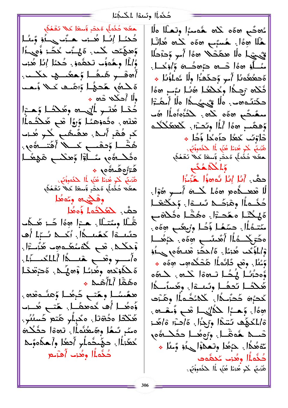حُخُه إِلَّا وِتُبِيهِۚ [ لِمَكْبِكُمْ لِمَا

عقَلا تُنْفَعُ فَحَدْ وَّسَعْلَ حَلا تَقْفَقُ)<br>تُحْمُـٰلَ اِنُـٰلَ قُسَـٰوَتَ حَسَبَّتَ بِنَـٰلُوْ وَّسُلُل وَهِيْمَت لَكَ، هَلْ أَو لَهُ عَكْمَ: وَهَيْمَا وُٰ الْمَا وَحَدَوْبَ نَحْقُووْ . حُحْنَا إِنَّا هُزْب أەقىر ھُىفُا ۆھھُىس ككىب. ەَلْدەُمْ خَصَهْلُ وَاهْتُ كَتَلَّا وَّتَعَبَّ ولًا أحكك دْه ﴾ حُدْا هُنْبِ لَمْلَىٰدِ وِهَٰلِكُمَّا وَجَمَّرَا هْلُه . دَثُّەفْعَىْا وُرُوا هُم هَٰلاَشْمَاْا كَرِ قُفْرِ أَسْدَ. هفَيصًى لَّكُنْ هُـزَب هُتَّــا وُحفَـــ لاَ أُفُتـــوهُ , ەڭكىۋەر مئىلۋا ۆھىكى ھەھكا كَترُّوكُمشُّورٍ \*<br>مُّنَبِّ كُرِ مُنَا مُنَّ لَمَّا كَدُونُنٍّ.<br>حَمَّلا حُدُّمَة مَّدْ. تَسْعَل حَلا تَقْعُمَّ وقىئى ھە وئەھُل حفْ كَعَلَاثُما وُومُا ةُـلًا وِمُتـْلًا. حـْبَا هِهُا كَــز هُــكُ حسَّناءًا حُمَّناهًا. أَحْلَمْ سُجَا أُف وْحكْكِ. قْبِ ݣْدْمُكْدْهِبْ ݣْذْرْبْزَّا. دأمسو وثعسب هسسه الملكسنة. ەَ ݣُاوْݣُدە وِهُٰنِيًا ۏٛ٥ڮُ ٨. ەَدېقْدَا هِ هُغْلُ ٱلْمُلَّامُ \* همُسُـا وِـمُيْـــم حُـرِهُـــا وَهنُـــه هُده . ؤُهِمُــا أَفَّ خُمْعَمُــا. هُنْبِ مُنْــزم هَنْكُمَا هَدُوْنَا. هَكْبِلُر هُنْعَ كُسْلُر. ەمّىر ئىما وھَىعُنُە)ا. ئەۋا دېڭلەۋ هُهَٰٓ; أَا. حيْمَثُمام أَحمُا وأحدُموَهِ حُذُه لُما وهُن، أُهْنُوم

ـُلهَـمَــ مِهَم ـ كَله ـ هُـمــُـهُ | فَلَمْ الْمَالِمَةُ هْلَا هِهْا. هُسَبُبِ هِهُهِ كُلْهِ هُلْتُلْم قَيْحِيًا وَلَا مِحْصَلًا هَوَا أَمِرٍ وَحَدْحَلًا مُسَلَّوْ هَاْ دْــه دَهْدُــهْ وَٱوْكُــا. هَحعُعُدُمُا أُسٍ وَحكَدُا ولًا خُملَوْنًا \* ئُكْلُو رُحِكًا وِكُحْكًا شُنَّا بِّبِ 1هُ أ اتَحْمَدُ الله المُسْرِمِنٌ الله . ـــ موسنتَك مَعْمَدُمِ 200 £9. كَدُّوْهُ الْمُ وُهِمَّى الْمَاهُمُّا أَلَمَّا وَتَحَدَّنَ لَمُحَمَّكُكُمْ وَ دْاوْبُ كْعْدَا حَدّْهِ كَدْ وَّجَا ﴾ هُنْبُمْ كُرِ هُنئًا هُنَّهُ لَمَا كَحْمُوؤُبٍّ.<br>حقَلا حُدَّماً وَمَدْمٍ وَمَنقَل كَلا تَقْعُلُهِ. وَالْمَدْمُنَى حفٍّ. أَنَا إِنَا ثَوْهِ أَلْمَ يَتَبَدُّا لَّا مْعطَمُوم مؤلمًا كُلْمَةٍ أُسْبِرٍ هُوْلٍ. حُذُه أَا وهْزَحُكُ سُبِّهَا . وَحكَّنْعْبَا هْكُنْمَا مِعۡحَـٰٓءٖا ٖ. مِعۡخُـا مِثۡكُوۡب مَتَّـدُاًا. حَمَّـمًا وَّكُـا وَرُبِعَْبِ 2009. ەخزىك مُال أَهُىسُم «ەِهْ». دَرْهُـــا وْالْمُؤْكَّبِ هُوْمًا. هَا حَضَرْ هْدِيَّةٍ وَلَيْهِمْ وَّىُنَا. وِتَى دَّانُهاْ هُدْكُوهِ- هِ٥٥ \* وُودُنُا لِمُحُا نَاوةا كَذْرِ . كَلّْهُو هَٰكِئُما تَحفُّا وِتَبِسِدًا. وِهَٰسَنَسُكُا كْحَرُهْ خُحَزُنْكُمْلِ. ݣْلْمْنْشُمْلْ وِهْتْوَتْ هِهَا. وَحَسَرًا كَمُلْكَ أَنْفُ وَحَصَّدَهُ. ة/لمَكَّفِ تَسْمًا وَرَجْزًا. ة/حِبْز ة/هُـز تَصَـــمْ هُـَەڠْلَــا. وِرُوهُــا حثُكـــوُوم مَّةهُدًا. حَزِهُا وِتَعَاذَوْا حِلَّوْ وَمِنًا \* كُثْمَلُّا وهُنِي مُحَقَّدِت هُنْبُ كُرِ هُٰنِنَا هُنِّي لَمَا كَخُوفُنِّ.